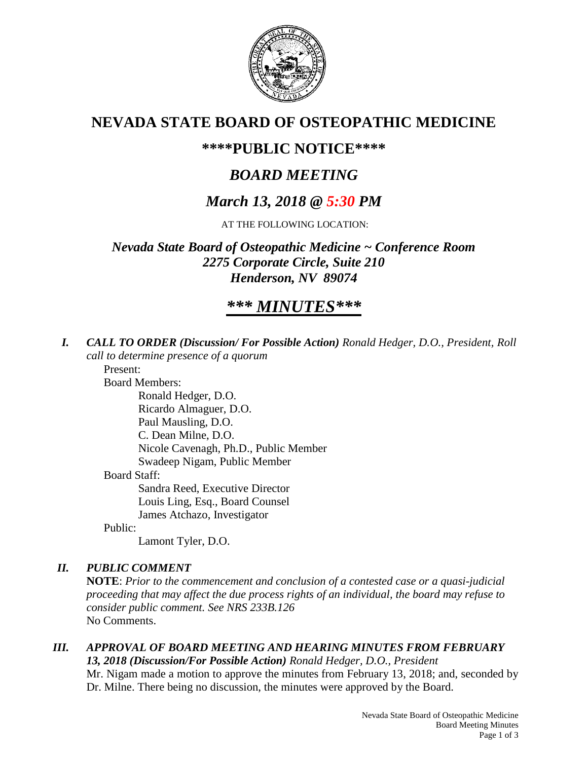

## **NEVADA STATE BOARD OF OSTEOPATHIC MEDICINE**

## **\*\*\*\*PUBLIC NOTICE\*\*\*\***

# *BOARD MEETING*

# *March 13, 2018 @ 5:30 PM*

AT THE FOLLOWING LOCATION:

*Nevada State Board of Osteopathic Medicine ~ Conference Room 2275 Corporate Circle, Suite 210 Henderson, NV 89074*

# *\*\*\* MINUTES\*\*\**

*I. CALL TO ORDER (Discussion/ For Possible Action) Ronald Hedger, D.O., President, Roll call to determine presence of a quorum*

Present:

Board Members:

Ronald Hedger, D.O. Ricardo Almaguer, D.O. Paul Mausling, D.O. C. Dean Milne, D.O. Nicole Cavenagh, Ph.D., Public Member Swadeep Nigam, Public Member Board Staff: Sandra Reed, Executive Director Louis Ling, Esq., Board Counsel James Atchazo, Investigator

Public:

Lamont Tyler, D.O.

## *II. PUBLIC COMMENT*

**NOTE**: *Prior to the commencement and conclusion of a contested case or a quasi-judicial proceeding that may affect the due process rights of an individual, the board may refuse to consider public comment. See NRS 233B.126* No Comments.

#### *III. APPROVAL OF BOARD MEETING AND HEARING MINUTES FROM FEBRUARY 13, 2018 (Discussion/For Possible Action) Ronald Hedger, D.O., President*

Mr. Nigam made a motion to approve the minutes from February 13, 2018; and, seconded by Dr. Milne. There being no discussion, the minutes were approved by the Board.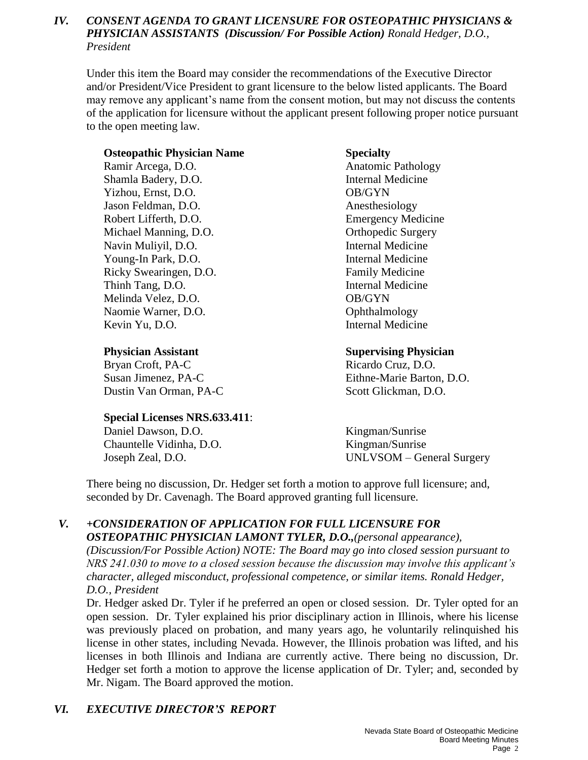## *IV. CONSENT AGENDA TO GRANT LICENSURE FOR OSTEOPATHIC PHYSICIANS & PHYSICIAN ASSISTANTS (Discussion/ For Possible Action) Ronald Hedger, D.O., President*

Under this item the Board may consider the recommendations of the Executive Director and/or President/Vice President to grant licensure to the below listed applicants. The Board may remove any applicant's name from the consent motion, but may not discuss the contents of the application for licensure without the applicant present following proper notice pursuant to the open meeting law.

#### **Osteopathic Physician Name Specialty**

Ramir Arcega, D.O. **Anatomic Pathology** Shamla Badery, D.O. **Internal Medicine** Yizhou, Ernst, D.O. OB/GYN Jason Feldman, D.O. Anesthesiology Robert Lifferth, D.O. Emergency Medicine Michael Manning, D.O. **Orthopedic Surgery** Navin Muliyil, D.O. **Internal Medicine** Young-In Park, D.O. Internal Medicine Ricky Swearingen, D.O. **Family Medicine** Thinh Tang, D.O. Internal Medicine Melinda Velez, D.O. OB/GYN Naomie Warner, D.O. **Ophthalmology** Kevin Yu, D.O. Internal Medicine

Bryan Croft, PA-C Ricardo Cruz, D.O. Dustin Van Orman, PA-C Scott Glickman, D.O.

### **Special Licenses NRS.633.411**:

Daniel Dawson, D.O. Kingman/Sunrise Chauntelle Vidinha, D.O. Kingman/Sunrise

### **Physician Assistant Supervising Physician**

Susan Jimenez, PA-C Eithne-Marie Barton, D.O.

Joseph Zeal, D.O. UNLVSOM – General Surgery

There being no discussion, Dr. Hedger set forth a motion to approve full licensure; and, seconded by Dr. Cavenagh. The Board approved granting full licensure.

#### *V. +CONSIDERATION OF APPLICATION FOR FULL LICENSURE FOR OSTEOPATHIC PHYSICIAN LAMONT TYLER, D.O.,(personal appearance),*

*(Discussion/For Possible Action) NOTE: The Board may go into closed session pursuant to NRS 241.030 to move to a closed session because the discussion may involve this applicant's character, alleged misconduct, professional competence, or similar items. Ronald Hedger, D.O., President* 

Dr. Hedger asked Dr. Tyler if he preferred an open or closed session. Dr. Tyler opted for an open session. Dr. Tyler explained his prior disciplinary action in Illinois, where his license was previously placed on probation, and many years ago, he voluntarily relinquished his license in other states, including Nevada. However, the Illinois probation was lifted, and his licenses in both Illinois and Indiana are currently active. There being no discussion, Dr. Hedger set forth a motion to approve the license application of Dr. Tyler; and, seconded by Mr. Nigam. The Board approved the motion.

## *VI. EXECUTIVE DIRECTOR'S REPORT*